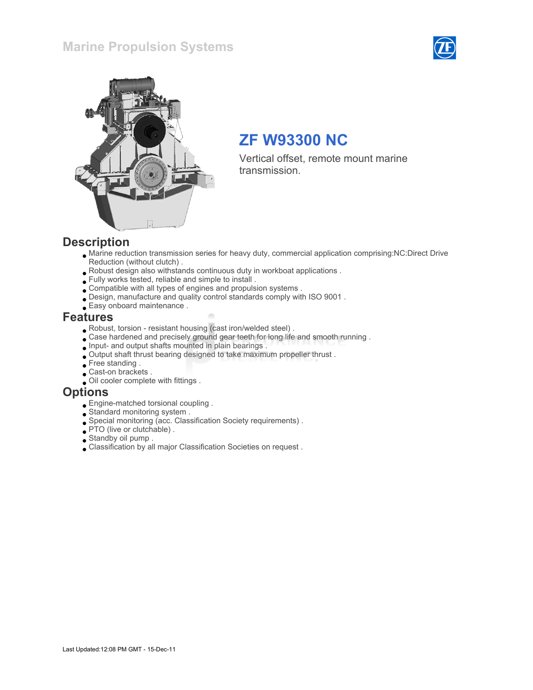#### Marine Propulsion Systems





# ZF W93300 NC

Vertical offset, remote mount marine transmission.

#### **Description**

- Marine reduction transmission series for heavy duty, commercial application comprising:NC:Direct Drive Reduction (without clutch) .
- Robust design also withstands continuous duty in workboat applications .
- Fully works tested, reliable and simple to install .
- Compatible with all types of engines and propulsion systems .
- Design, manufacture and quality control standards comply with ISO 9001 .
- Easy onboard maintenance .

#### Features

- Robust, torsion resistant housing (cast iron/welded steel) .
- Case hardened and precisely ground gear teeth for long life and smooth running .
- Input- and output shafts mounted in plain bearings .
- Output shaft thrust bearing designed to take maximum propeller thrust .
- Free standing.
- Cast-on brackets .
- Oil cooler complete with fittings .

#### **Options**

- Engine-matched torsional coupling .
- Standard monitoring system .
- Special monitoring (acc. Classification Society requirements) .
- PTO (live or clutchable) .
- Standby oil pump .
- Classification by all major Classification Societies on request .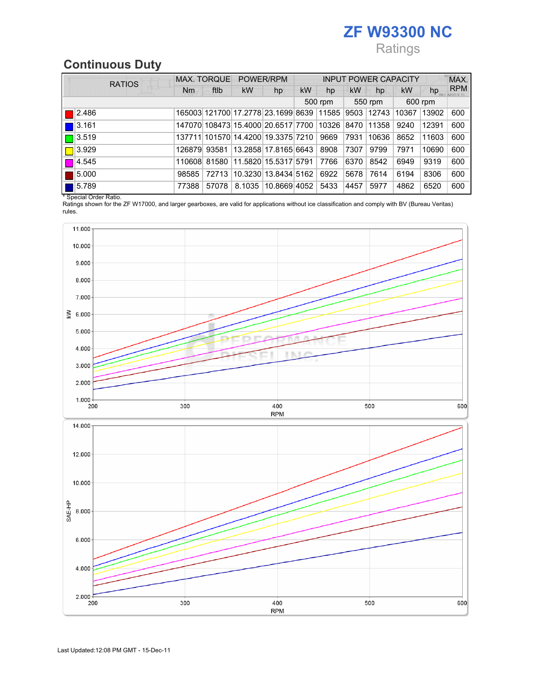## ZF W93300 NC Ratings

### Continuous Duty

|                      | <b>RATIOS</b> | <b>MAX. TORQUE</b> |       | POWER/RPM                                |                      | <b>INPUT POWER CAPACITY</b> |       |           |             |           | MAX.  |            |
|----------------------|---------------|--------------------|-------|------------------------------------------|----------------------|-----------------------------|-------|-----------|-------------|-----------|-------|------------|
|                      |               | <b>Nm</b>          | ftlb  | <b>kW</b>                                | hp                   | <b>kW</b>                   | hp    | <b>kW</b> | hp          | <b>kW</b> | hp    | <b>RPM</b> |
|                      |               |                    |       |                                          |                      | 500 rpm                     |       | 550 rpm   |             | 600 rpm   |       |            |
| 2.486                |               |                    |       | 165003 121700 17.2778 23.1699 8639 11585 |                      |                             |       |           | 9503  12743 | 10367     | 13902 | 600        |
| 3.161                |               |                    |       | 147070 108473 15.4000 20.6517 7700       |                      |                             | 10326 | 8470      | 11358       | 9240      | 12391 | 600        |
| $\blacksquare$ 3.519 |               |                    |       | 137711 101570 14.4200 19.3375 7210       |                      |                             | 9669  | 7931      | 10636       | 8652      | 11603 | 600        |
| 3.929                |               |                    |       | 126879 93581 13.2858 17.8165 6643        |                      |                             | 8908  | 7307      | 9799        | 7971      | 10690 | 600        |
| 4.545                |               | 110608             |       | 81580 11.5820 15.5317 5791               |                      |                             | 7766  | 6370      | 8542        | 6949      | 9319  | 600        |
| 5.000                |               | 98585              | 72713 |                                          | 10.3230 13.8434 5162 |                             | 6922  | 5678      | 7614        | 6194      | 8306  | 600        |
| 5.789                |               | 77388              | 57078 |                                          | 8.1035 10.8669 4052  |                             | 5433  | 4457      | 5977        | 4862      | 6520  | 600        |

\* Special Order Ratio.

Ratings shown for the ZF W17000, and larger gearboxes, are valid for applications without ice classification and comply with BV (Bureau Veritas) rules.

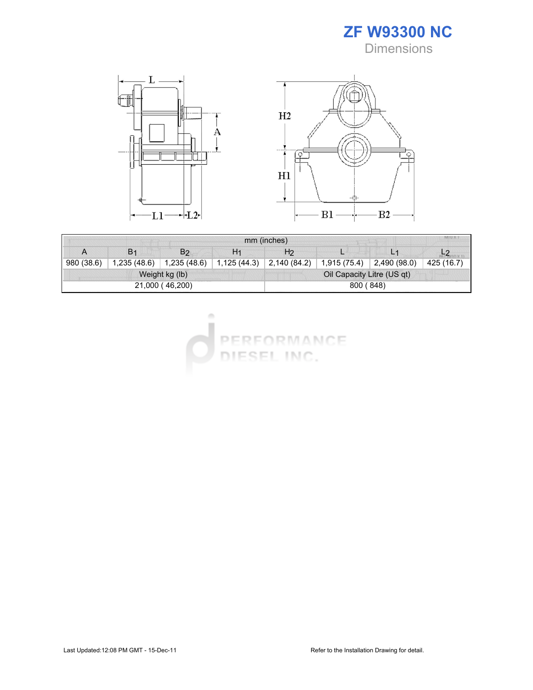



| MIU X 1<br>mm (inches) |                |                |                |                            |              |             |            |  |  |
|------------------------|----------------|----------------|----------------|----------------------------|--------------|-------------|------------|--|--|
| А                      | B <sub>1</sub> | B <sub>2</sub> | H <sub>1</sub> | H <sub>2</sub>             |              |             |            |  |  |
| 980 (38.6)             | 1,235(48.6)    | 1,235(48.6)    | 1,125 (44.3)   | 2,140 (84.2)               | 1,915 (75.4) | 2,490(98.0) | 425 (16.7) |  |  |
| Weight kg (lb)         |                |                |                | Oil Capacity Litre (US qt) |              |             |            |  |  |
| 21,000 (46,200)        |                |                |                | 800 (848)                  |              |             |            |  |  |



 $\alpha$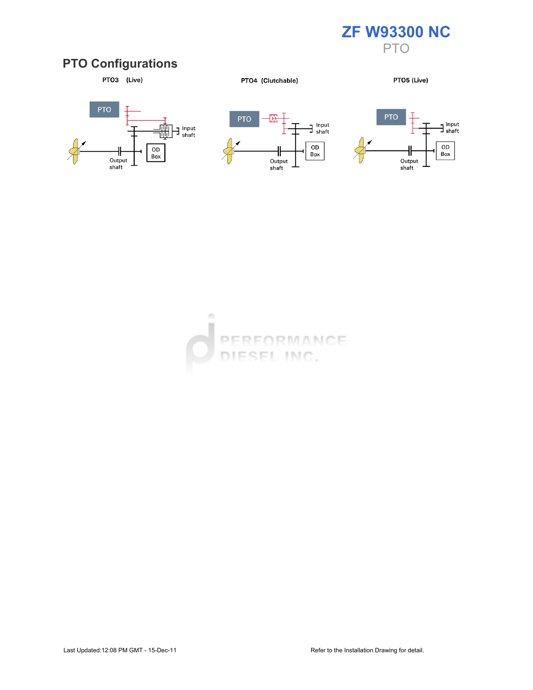

#### PTO Configurations



PTO4 (Clutchable)

PTO5 (Live)